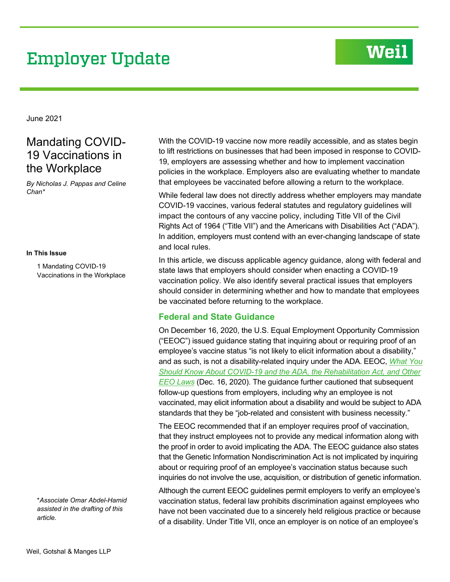# **Employer Update**

# Weil

June 2021

## Mandating COVID-19 Vaccinations in the Workplace

*By Nicholas J. Pappas and Celine Chan\**

#### **In This Issue**

1 Mandating COVID-19 Vaccinations in the Workplace

\**Associate Omar Abdel-Hamid assisted in the drafting of this article.* 

With the COVID-19 vaccine now more readily accessible, and as states begin to lift restrictions on businesses that had been imposed in response to COVID-19, employers are assessing whether and how to implement vaccination policies in the workplace. Employers also are evaluating whether to mandate that employees be vaccinated before allowing a return to the workplace.

While federal law does not directly address whether employers may mandate COVID-19 vaccines, various federal statutes and regulatory guidelines will impact the contours of any vaccine policy, including Title VII of the Civil Rights Act of 1964 ("Title VII") and the Americans with Disabilities Act ("ADA"). In addition, employers must contend with an ever-changing landscape of state and local rules.

In this article, we discuss applicable agency guidance, along with federal and state laws that employers should consider when enacting a COVID-19 vaccination policy. We also identify several practical issues that employers should consider in determining whether and how to mandate that employees be vaccinated before returning to the workplace.

### **Federal and State Guidance**

On December 16, 2020, the U.S. Equal Employment Opportunity Commission ("EEOC") issued guidance stating that inquiring about or requiring proof of an employee's vaccine status "is not likely to elicit information about a disability," and as such, is not a disability-related inquiry under the ADA. EEOC, *[What You](https://www.eeoc.gov/wysk/what-you-should-know-about-covid-19-and-ada-rehabilitation-act-and-other-eeo-laws)  [Should Know About COVID-19 and the ADA, the Rehabilitation Act, and Other](https://www.eeoc.gov/wysk/what-you-should-know-about-covid-19-and-ada-rehabilitation-act-and-other-eeo-laws)  [EEO Laws](https://www.eeoc.gov/wysk/what-you-should-know-about-covid-19-and-ada-rehabilitation-act-and-other-eeo-laws)* (Dec. 16, 2020). The guidance further cautioned that subsequent follow-up questions from employers, including why an employee is not vaccinated, may elicit information about a disability and would be subject to ADA standards that they be "job-related and consistent with business necessity."

The EEOC recommended that if an employer requires proof of vaccination, that they instruct employees not to provide any medical information along with the proof in order to avoid implicating the ADA. The EEOC guidance also states that the Genetic Information Nondiscrimination Act is not implicated by inquiring about or requiring proof of an employee's vaccination status because such inquiries do not involve the use, acquisition, or distribution of genetic information.

Although the current EEOC guidelines permit employers to verify an employee's vaccination status, federal law prohibits discrimination against employees who have not been vaccinated due to a sincerely held religious practice or because of a disability. Under Title VII, once an employer is on notice of an employee's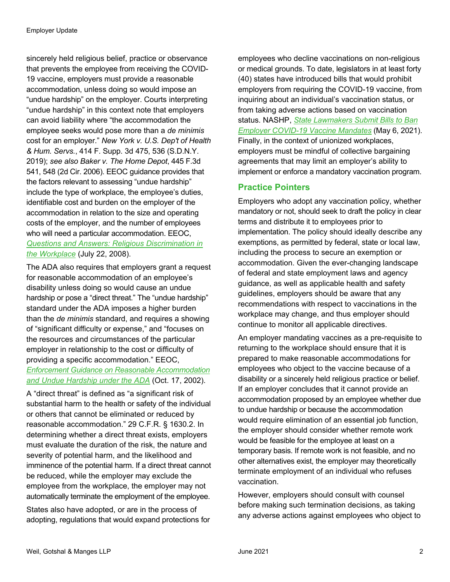sincerely held religious belief, practice or observance that prevents the employee from receiving the COVID-19 vaccine, employers must provide a reasonable accommodation, unless doing so would impose an "undue hardship" on the employer. Courts interpreting "undue hardship" in this context note that employers can avoid liability where "the accommodation the employee seeks would pose more than a *de minimis* cost for an employer." *New York v. U.S. Dep't of Health & Hum. Servs.*, 414 F. Supp. 3d 475, 536 (S.D.N.Y. 2019); *see also Baker v. The Home Depot*, 445 F.3d 541, 548 (2d Cir. 2006). EEOC guidance provides that the factors relevant to assessing "undue hardship" include the type of workplace, the employee's duties, identifiable cost and burden on the employer of the accommodation in relation to the size and operating costs of the employer, and the number of employees who will need a particular accommodation. EEOC, *[Questions and Answers: Religious Discrimination in](https://www.eeoc.gov/laws/guidance/questions-and-answers-religious-discrimination-workplace)  [the Workplace](https://www.eeoc.gov/laws/guidance/questions-and-answers-religious-discrimination-workplace)* (July 22, 2008).

The ADA also requires that employers grant a request for reasonable accommodation of an employee's disability unless doing so would cause an undue hardship or pose a "direct threat." The "undue hardship" standard under the ADA imposes a higher burden than the *de minimis* standard, and requires a showing of "significant difficulty or expense," and "focuses on the resources and circumstances of the particular employer in relationship to the cost or difficulty of providing a specific accommodation." EEOC, *[Enforcement Guidance on Reasonable Accommodation](https://www.eeoc.gov/laws/guidance/enforcement-guidance-reasonable-accommodation-and-undue-hardship-under-ada) [and Undue Hardship under the ADA](https://www.eeoc.gov/laws/guidance/enforcement-guidance-reasonable-accommodation-and-undue-hardship-under-ada)* (Oct. 17, 2002).

A "direct threat" is defined as "a significant risk of substantial harm to the health or safety of the individual or others that cannot be eliminated or reduced by reasonable accommodation." 29 C.F.R. § 1630.2. In determining whether a direct threat exists, employers must evaluate the duration of the risk, the nature and severity of potential harm, and the likelihood and imminence of the potential harm. If a direct threat cannot be reduced, while the employer may exclude the employee from the workplace, the employer may not automatically terminate the employment of the employee.

States also have adopted, or are in the process of adopting, regulations that would expand protections for employees who decline vaccinations on non-religious or medical grounds. To date, legislators in at least forty (40) states have introduced bills that would prohibit employers from requiring the COVID-19 vaccine, from inquiring about an individual's vaccination status, or from taking adverse actions based on vaccination status. NASHP, *[State Lawmakers Submit Bills to Ban](https://www.nashp.org/state-lawmakers-submit-bills-to-ban-employer-vaccine-mandates/)  [Employer COVID-19 Vaccine Mandates](https://www.nashp.org/state-lawmakers-submit-bills-to-ban-employer-vaccine-mandates/)* (May 6, 2021). Finally, in the context of unionized workplaces, employers must be mindful of collective bargaining agreements that may limit an employer's ability to implement or enforce a mandatory vaccination program.

### **Practice Pointers**

Employers who adopt any vaccination policy, whether mandatory or not, should seek to draft the policy in clear terms and distribute it to employees prior to implementation. The policy should ideally describe any exemptions, as permitted by federal, state or local law, including the process to secure an exemption or accommodation. Given the ever-changing landscape of federal and state employment laws and agency guidance, as well as applicable health and safety guidelines, employers should be aware that any recommendations with respect to vaccinations in the workplace may change, and thus employer should continue to monitor all applicable directives.

An employer mandating vaccines as a pre-requisite to returning to the workplace should ensure that it is prepared to make reasonable accommodations for employees who object to the vaccine because of a disability or a sincerely held religious practice or belief. If an employer concludes that it cannot provide an accommodation proposed by an employee whether due to undue hardship or because the accommodation would require elimination of an essential job function, the employer should consider whether remote work would be feasible for the employee at least on a temporary basis. If remote work is not feasible, and no other alternatives exist, the employer may theoretically terminate employment of an individual who refuses vaccination.

However, employers should consult with counsel before making such termination decisions, as taking any adverse actions against employees who object to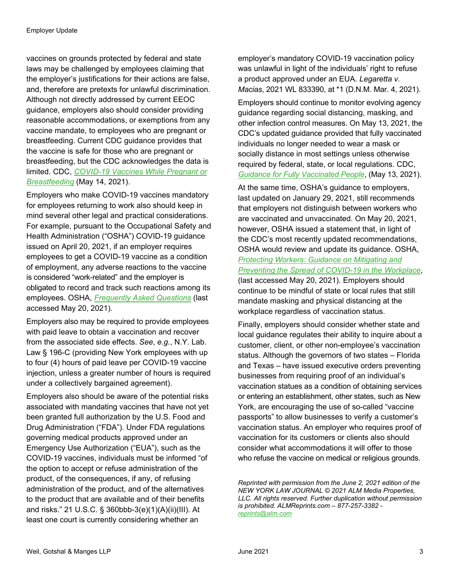vaccines on grounds protected by federal and state laws may be challenged by employees claiming that the employer's justifications for their actions are false, and, therefore are pretexts for unlawful discrimination. Although not directly addressed by current EEOC guidance, employers also should consider providing reasonable accommodations, or exemptions from any vaccine mandate, to employees who are pregnant or breastfeeding. Current CDC guidance provides that the vaccine is safe for those who are pregnant or breastfeeding, but the CDC acknowledges the data is limited. CDC, *[COVID-19 Vaccines While Pregnant or](https://www.cdc.gov/coronavirus/2019-ncov/vaccines/recommendations/pregnancy.html)  [Breastfeeding](https://www.cdc.gov/coronavirus/2019-ncov/vaccines/recommendations/pregnancy.html)* (May 14, 2021).

Employers who make COVID-19 vaccines mandatory for employees returning to work also should keep in mind several other legal and practical considerations. For example, pursuant to the Occupational Safety and Health Administration ("OSHA") COVID-19 guidance issued on April 20, 2021, if an employer requires employees to get a COVID-19 vaccine as a condition of employment, any adverse reactions to the vaccine is considered "work-related" and the employer is obligated to record and track such reactions among its employees. OSHA, *[Frequently Asked Questions](https://www.osha.gov/coronavirus/faqs#vaccine)* (last accessed May 20, 2021).

Employers also may be required to provide employees with paid leave to obtain a vaccination and recover from the associated side effects. *See*, *e.g.*, N.Y. Lab. Law § 196-C (providing New York employees with up to four (4) hours of paid leave per COVID-19 vaccine injection, unless a greater number of hours is required under a collectively bargained agreement).

Employers also should be aware of the potential risks associated with mandating vaccines that have not yet been granted full authorization by the U.S. Food and Drug Administration ("FDA"). Under FDA regulations governing medical products approved under an Emergency Use Authorization ("EUA"), such as the COVID-19 vaccines, individuals must be informed "of the option to accept or refuse administration of the product, of the consequences, if any, of refusing administration of the product, and of the alternatives to the product that are available and of their benefits and risks." 21 U.S.C. § 360bbb-3(e)(1)(A)(ii)(III). At least one court is currently considering whether an

employer's mandatory COVID-19 vaccination policy was unlawful in light of the individuals' right to refuse a product approved under an EUA. *Legaretta v. Macias*, 2021 WL 833390, at \*1 (D.N.M. Mar. 4, 2021).

Employers should continue to monitor evolving agency guidance regarding social distancing, masking, and other infection control measures. On May 13, 2021, the CDC's updated guidance provided that fully vaccinated individuals no longer needed to wear a mask or socially distance in most settings unless otherwise required by federal, state, or local regulations. CDC, *[Guidance for Fully Vaccinated People](https://www.cdc.gov/coronavirus/2019-ncov/vaccines/fully-vaccinated-guidance)*, (May 13, 2021).

At the same time, OSHA's guidance to employers, last updated on January 29, 2021, still recommends that employers not distinguish between workers who are vaccinated and unvaccinated. On May 20, 2021, however, OSHA issued a statement that, in light of the CDC's most recently updated recommendations, OSHA would review and update its guidance. OSHA, *[Protecting Workers: Guidance on Mitigating and](https://www.osha.gov/coronavirus/safework)  [Preventing the Spread of COVID-19 in the Workplace](https://www.osha.gov/coronavirus/safework)*, (last accessed May 20, 2021). Employers should continue to be mindful of state or local rules that still mandate masking and physical distancing at the workplace regardless of vaccination status.

Finally, employers should consider whether state and local guidance regulates their ability to inquire about a customer, client, or other non-employee's vaccination status. Although the governors of two states – Florida and Texas – have issued executive orders preventing businesses from requiring proof of an individual's vaccination statues as a condition of obtaining services or entering an establishment, other states, such as New York, are encouraging the use of so-called "vaccine passports" to allow businesses to verify a customer's vaccination status. An employer who requires proof of vaccination for its customers or clients also should consider what accommodations it will offer to those who refuse the vaccine on medical or religious grounds.

*Reprinted with permission from the June 2, 2021 edition of the NEW YORK LAW JOURNAL © 2021 ALM Media Properties, LLC. All rights reserved. Further duplication without permission is prohibited. ALMReprints.com – 877-257-3382 [reprints@alm.com](mailto:reprints@alm.com)*